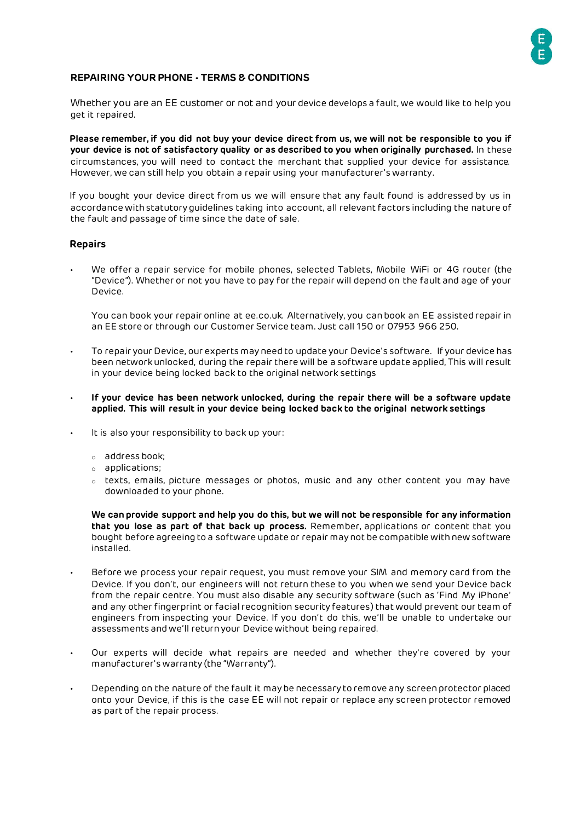

# **REPAIRING YOUR PHONE - TERMS & CONDITIONS**

Whether you are an EE customer or not and your device develops a fault, we would like to help you get it repaired.

**Please remember, if you did not buy your device direct from us, we will not be responsible to you if your device is not of satisfactory quality or as described to you when originally purchased.** In these circumstances, you will need to contact the merchant that supplied your device for assistance. However, we can still help you obtain a repair using your manufacturer's warranty.

If you bought your device direct from us we will ensure that any fault found is addressed by us in accordance with statutory guidelines taking into account, all relevant factors including the nature of the fault and passage of time since the date of sale.

#### **Repairs**

• We offer a repair service for mobile phones, selected Tablets, Mobile WiFi or 4G router (the "Device"). Whether or not you have to pay for the repair will depend on the fault and age of your Device.

You can book your repair online at ee.co.uk. Alternatively, you can book an EE assisted repair in an EE store or through our Customer Service team. Just call 150 or 07953 966 250.

- To repair your Device, our experts may need to update your Device's software. If your device has been networkunlocked, during the repair there will be a software update applied, This will result in your device being locked back to the original network settings
- **If your device has been network unlocked, during the repair there will be a software update applied. This will result in your device being locked back to the original network settings**
- It is also your responsibility to back up your:
	- o address book;
	- o applications;
	- o texts, emails, picture messages or photos, music and any other content you may have downloaded to your phone.

**We can provide support and help you do this, but we will not be responsible for any information that you lose as part of that back up process.** Remember, applications or content that you bought before agreeing to a software update or repair may not be compatible with new software installed.

- Before we process your repair request, you must remove your SIM and memory card from the Device. If you don't, our engineers will not return these to you when we send your Device back from the repair centre. You must also disable any security software (such as 'Find My iPhone' and any other fingerprint or facial recognition security features) that would prevent our team of engineers from inspecting your Device. If you don't do this, we'll be unable to undertake our assessments and we'll return your Device without being repaired.
- Our experts will decide what repairs are needed and whether they're covered by your manufacturer's warranty (the "Warranty").
- Depending on the nature of the fault it may be necessary to remove any screen protector placed onto your Device, if this is the case EE will not repair or replace any screen protector removed as part of the repair process.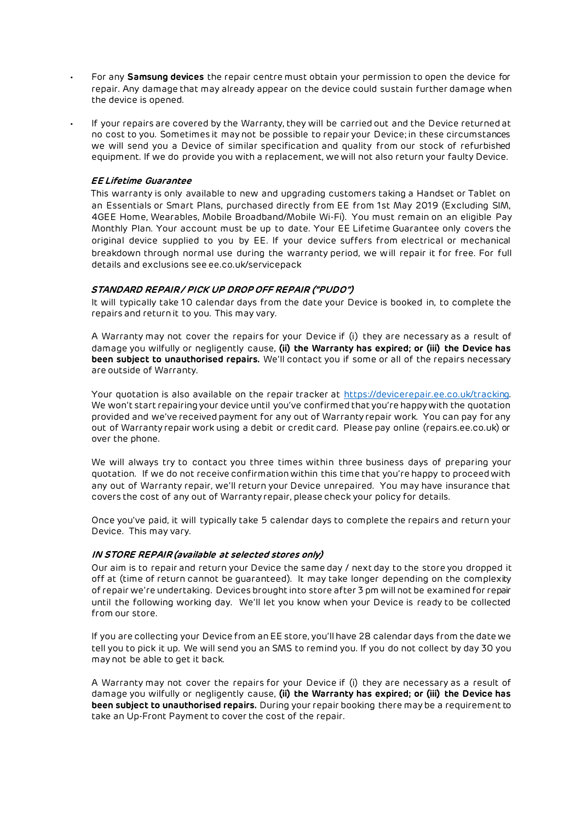- For any **Samsung devices** the repair centre must obtain your permission to open the device for repair. Any damage that may already appear on the device could sustain further damage when the device is opened.
- If your repairs are covered by the Warranty, they will be carried out and the Device returned at no cost to you. Sometimes it may not be possible to repair your Device; in these circumstances we will send you a Device of similar specification and quality from our stock of refurbished equipment. If we do provide you with a replacement, we will not also return your faulty Device.

### **EE Lifetime Guarantee**

This warranty is only available to new and upgrading customers taking a Handset or Tablet on an Essentials or Smart Plans, purchased directly from EE from 1st May 2019 (Excluding SIM, 4GEE Home, Wearables, Mobile Broadband/Mobile Wi-Fi). You must remain on an eligible Pay Monthly Plan. Your account must be up to date. Your EE Lifetime Guarantee only covers the original device supplied to you by EE. If your device suffers from electrical or mechanical breakdown through normal use during the warranty period, we will repair it for free. For full details and exclusions see ee.co.uk/servicepack

#### **STANDARD REPAIR / PICK UP DROP OFF REPAIR ("PUDO")**

It will typically take 10 calendar days from the date your Device is booked in, to complete the repairs and return it to you. This may vary.

A Warranty may not cover the repairs for your Device if (i) they are necessary as a result of damage you wilfully or negligently cause, **(ii) the Warranty has expired; or (iii) the Device has been subject to unauthorised repairs.** We'll contact you if some or all of the repairs necessary are outside of Warranty.

Your quotation is also available on the repair tracker at [https://devicerepair.ee.co.uk/tracking.](https://devicerepair.ee.co.uk/tracking) We won't start repairing your device until you've confirmed that you're happy with the quotation provided and we've received payment for any out of Warranty repair work. You can pay for any out of Warranty repair work using a debit or credit card. Please pay online (repairs.ee.co.uk) or over the phone.

We will always try to contact you three times within three business days of preparing your quotation. If we do not receive confirmation within this time that you're happy to proceed with any out of Warranty repair, we'll return your Device unrepaired. You may have insurance that covers the cost of any out of Warranty repair, please check your policy for details.

Once you've paid, it will typically take 5 calendar days to complete the repairs and return your Device. This may vary.

#### **IN STORE REPAIR (available at selected stores only)**

Our aim is to repair and return your Device the same day / next day to the store you dropped it off at (time of return cannot be guaranteed). It may take longer depending on the complexity of repair we're undertaking. Devices brought into store after 3 pm will not be examined for repair until the following working day. We'll let you know when your Device is ready to be collected from our store.

If you are collecting your Device from an EE store, you'll have 28 calendar days from the date we tell you to pick it up. We will send you an SMS to remind you. If you do not collect by day 30 you may not be able to get it back.

A Warranty may not cover the repairs for your Device if (i) they are necessary as a result of damage you wilfully or negligently cause, **(ii) the Warranty has expired; or (iii) the Device has been subject to unauthorised repairs.** During your repair booking there may be a requirement to take an Up-Front Payment to cover the cost of the repair.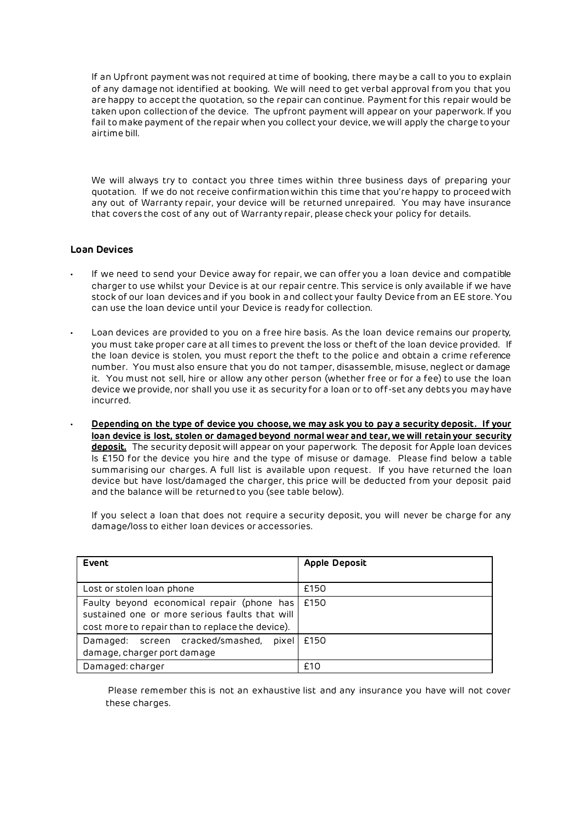If an Upfront payment was not required at time of booking, there may be a call to you to explain of any damage not identified at booking. We will need to get verbal approval from you that you are happy to accept the quotation, so the repair can continue. Payment for this repair would be taken upon collection of the device. The upfront payment will appear on your paperwork. If you fail to make payment of the repair when you collect your device, we will apply the charge to your airtime bill.

We will always try to contact you three times within three business days of preparing your quotation. If we do not receive confirmation within this time that you're happy to proceed with any out of Warranty repair, your device will be returned unrepaired. You may have insurance that covers the cost of any out of Warranty repair, please check your policy for details.

## **Loan Devices**

- If we need to send your Device away for repair, we can offer you a loan device and compatible charger to use whilst your Device is at our repair centre. This service is only available if we have stock of our loan devices and if you book in and collect your faulty Device from an EE store. You can use the loan device until your Device is ready for collection.
- Loan devices are provided to you on a free hire basis. As the loan device remains our property, you must take proper care at all times to prevent the loss or theft of the loan device provided. If the loan device is stolen, you must report the theft to the police and obtain a crime reference number. You must also ensure that you do not tamper, disassemble, misuse, neglect or damage it. You must not sell, hire or allow any other person (whether free or for a fee) to use the loan device we provide, nor shall you use it as security for a loan or to off-set any debts you may have incurred.
	- **Depending on the type of device you choose, we may ask you to pay a security deposit. If your loan device is lost, stolen or damaged beyond normal wear and tear, we will retain your security deposit.** The security deposit will appear on your paperwork. The deposit for Apple loan devices Is £150 for the device you hire and the type of misuse or damage. Please find below a table summarising our charges. A full list is available upon request. If you have returned the loan device but have lost/damaged the charger, this price will be deducted from your deposit paid and the balance will be returned to you (see table below).

If you select a loan that does not require a security deposit, you will never be charge for any damage/loss to either loan devices or accessories.

| Event                                                                                                                                              | <b>Apple Deposit</b> |
|----------------------------------------------------------------------------------------------------------------------------------------------------|----------------------|
|                                                                                                                                                    |                      |
| Lost or stolen loan phone                                                                                                                          | £150                 |
| Faulty beyond economical repair (phone has  <br>sustained one or more serious faults that will<br>cost more to repair than to replace the device). | £150                 |
| Damaged: screen cracked/smashed, pixel<br>damage, charger port damage                                                                              | £150                 |
| Damaged: charger                                                                                                                                   | £10                  |

Please remember this is not an exhaustive list and any insurance you have will not cover these charges.